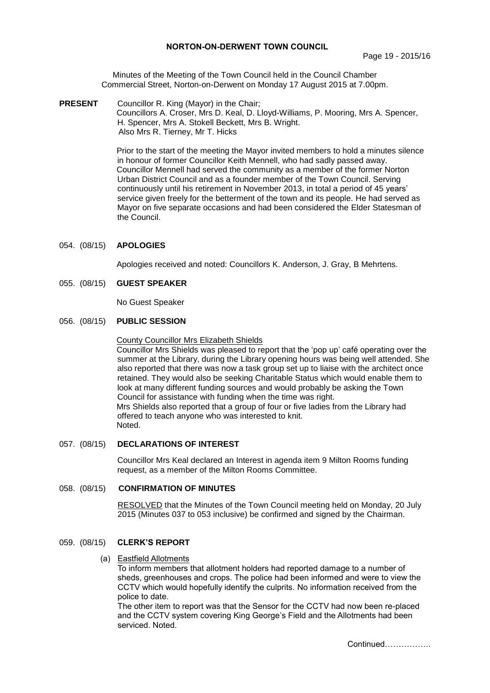Minutes of the Meeting of the Town Council held in the Council Chamber Commercial Street, Norton-on-Derwent on Monday 17 August 2015 at 7.00pm.

**PRESENT** Councillor R. King (Mayor) in the Chair; Councillors A. Croser, Mrs D. Keal, D. Lloyd-Williams, P. Mooring, Mrs A. Spencer, H. Spencer, Mrs A. Stokell Beckett, Mrs B. Wright. Also Mrs R. Tierney, Mr T. Hicks

> Prior to the start of the meeting the Mayor invited members to hold a minutes silence in honour of former Councillor Keith Mennell, who had sadly passed away. Councillor Mennell had served the community as a member of the former Norton Urban District Council and as a founder member of the Town Council. Serving continuously until his retirement in November 2013, in total a period of 45 years' service given freely for the betterment of the town and its people. He had served as Mayor on five separate occasions and had been considered the Elder Statesman of the Council.

# 054. (08/15) **APOLOGIES**

Apologies received and noted: Councillors K. Anderson, J. Gray, B Mehrtens.

### 055. (08/15) **GUEST SPEAKER**

No Guest Speaker

### 056. (08/15) **PUBLIC SESSION**

#### County Councillor Mrs Elizabeth Shields

Councillor Mrs Shields was pleased to report that the 'pop up' café operating over the summer at the Library, during the Library opening hours was being well attended. She also reported that there was now a task group set up to liaise with the architect once retained. They would also be seeking Charitable Status which would enable them to look at many different funding sources and would probably be asking the Town Council for assistance with funding when the time was right. Mrs Shields also reported that a group of four or five ladies from the Library had offered to teach anyone who was interested to knit. Noted.

### 057. (08/15) **DECLARATIONS OF INTEREST**

Councillor Mrs Keal declared an Interest in agenda item 9 Milton Rooms funding request, as a member of the Milton Rooms Committee.

#### 058. (08/15) **CONFIRMATION OF MINUTES**

RESOLVED that the Minutes of the Town Council meeting held on Monday, 20 July 2015 (Minutes 037 to 053 inclusive) be confirmed and signed by the Chairman.

### 059. (08/15) **CLERK'S REPORT**

#### (a) Eastfield Allotments

To inform members that allotment holders had reported damage to a number of sheds, greenhouses and crops. The police had been informed and were to view the CCTV which would hopefully identify the culprits. No information received from the police to date.

The other item to report was that the Sensor for the CCTV had now been re-placed and the CCTV system covering King George's Field and the Allotments had been serviced. Noted.

Continued……………..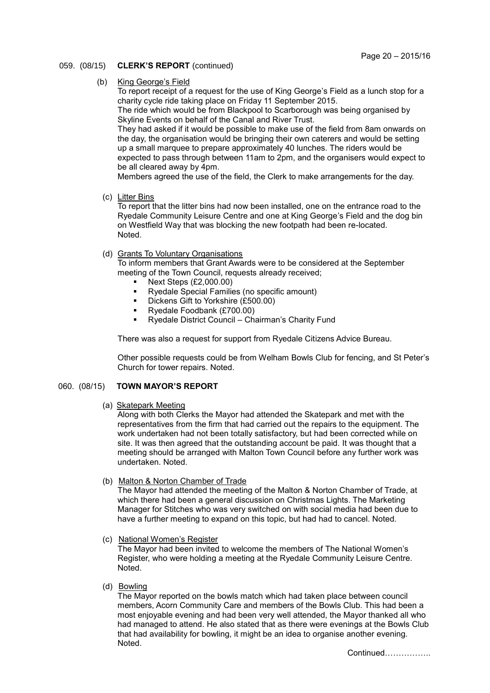# 059. (08/15) **CLERK'S REPORT** (continued)

(b) King George's Field

To report receipt of a request for the use of King George's Field as a lunch stop for a charity cycle ride taking place on Friday 11 September 2015. The ride which would be from Blackpool to Scarborough was being organised by Skyline Events on behalf of the Canal and River Trust. They had asked if it would be possible to make use of the field from 8am onwards on the day, the organisation would be bringing their own caterers and would be setting up a small marquee to prepare approximately 40 lunches. The riders would be expected to pass through between 11am to 2pm, and the organisers would expect to be all cleared away by 4pm.

Members agreed the use of the field, the Clerk to make arrangements for the day.

(c) Litter Bins

To report that the litter bins had now been installed, one on the entrance road to the Ryedale Community Leisure Centre and one at King George's Field and the dog bin on Westfield Way that was blocking the new footpath had been re-located. Noted.

(d) Grants To Voluntary Organisations

To inform members that Grant Awards were to be considered at the September meeting of the Town Council, requests already received;

- Next Steps (£2,000.00)
- Ryedale Special Families (no specific amount)
- Dickens Gift to Yorkshire (£500.00)
- Ryedale Foodbank (£700.00)<br>Ryedale District Council Ch
- Ryedale District Council Chairman's Charity Fund

There was also a request for support from Ryedale Citizens Advice Bureau.

Other possible requests could be from Welham Bowls Club for fencing, and St Peter's Church for tower repairs. Noted.

# 060. (08/15) **TOWN MAYOR'S REPORT**

### (a) Skatepark Meeting

Along with both Clerks the Mayor had attended the Skatepark and met with the representatives from the firm that had carried out the repairs to the equipment. The work undertaken had not been totally satisfactory, but had been corrected while on site. It was then agreed that the outstanding account be paid. It was thought that a meeting should be arranged with Malton Town Council before any further work was undertaken. Noted.

(b) Malton & Norton Chamber of Trade

The Mayor had attended the meeting of the Malton & Norton Chamber of Trade, at which there had been a general discussion on Christmas Lights. The Marketing Manager for Stitches who was very switched on with social media had been due to have a further meeting to expand on this topic, but had had to cancel. Noted.

(c) National Women's Register

The Mayor had been invited to welcome the members of The National Women's Register, who were holding a meeting at the Ryedale Community Leisure Centre. Noted.

(d) Bowling

The Mayor reported on the bowls match which had taken place between council members, Acorn Community Care and members of the Bowls Club. This had been a most enjoyable evening and had been very well attended, the Mayor thanked all who had managed to attend. He also stated that as there were evenings at the Bowls Club that had availability for bowling, it might be an idea to organise another evening. Noted.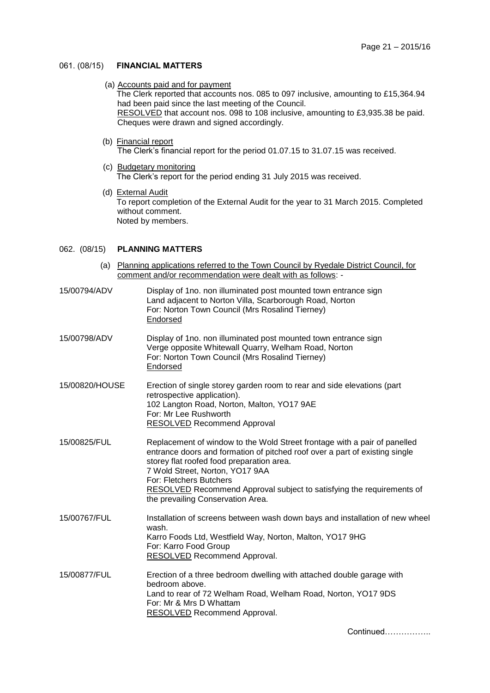# 061. (08/15) **FINANCIAL MATTERS**

### (a) Accounts paid and for payment

The Clerk reported that accounts nos. 085 to 097 inclusive, amounting to £15,364.94 had been paid since the last meeting of the Council.

 RESOLVED that account nos. 098 to 108 inclusive, amounting to £3,935.38 be paid. Cheques were drawn and signed accordingly.

(b) Financial report

The Clerk's financial report for the period 01.07.15 to 31.07.15 was received.

- (c) Budgetary monitoring The Clerk's report for the period ending 31 July 2015 was received.
- (d) External Audit

To report completion of the External Audit for the year to 31 March 2015. Completed without comment. Noted by members.

### 062. (08/15) **PLANNING MATTERS**

- (a) Planning applications referred to the Town Council by Ryedale District Council, for comment and/or recommendation were dealt with as follows: -
- 15/00794/ADV Display of 1no. non illuminated post mounted town entrance sign Land adjacent to Norton Villa, Scarborough Road, Norton For: Norton Town Council (Mrs Rosalind Tierney) Endorsed
- 15/00798/ADV Display of 1no. non illuminated post mounted town entrance sign Verge opposite Whitewall Quarry, Welham Road, Norton For: Norton Town Council (Mrs Rosalind Tierney) Endorsed
- 15/00820/HOUSE Erection of single storey garden room to rear and side elevations (part retrospective application). 102 Langton Road, Norton, Malton, YO17 9AE For: Mr Lee Rushworth RESOLVED Recommend Approval
- 15/00825/FUL Replacement of window to the Wold Street frontage with a pair of panelled entrance doors and formation of pitched roof over a part of existing single storey flat roofed food preparation area. 7 Wold Street, Norton, YO17 9AA For: Fletchers Butchers RESOLVED Recommend Approval subject to satisfying the requirements of the prevailing Conservation Area.
- 15/00767/FUL Installation of screens between wash down bays and installation of new wheel wash. Karro Foods Ltd, Westfield Way, Norton, Malton, YO17 9HG For: Karro Food Group RESOLVED Recommend Approval.
- 15/00877/FUL Erection of a three bedroom dwelling with attached double garage with bedroom above. Land to rear of 72 Welham Road, Welham Road, Norton, YO17 9DS For: Mr & Mrs D Whattam RESOLVED Recommend Approval.

Continued……………..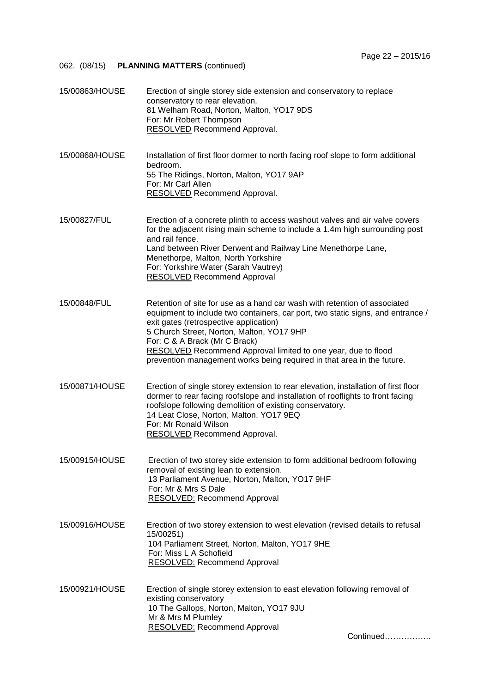| 15/00863/HOUSE | Erection of single storey side extension and conservatory to replace<br>conservatory to rear elevation.<br>81 Welham Road, Norton, Malton, YO17 9DS<br>For: Mr Robert Thompson<br>RESOLVED Recommend Approval.                                                                                                                                                                                                                  |
|----------------|---------------------------------------------------------------------------------------------------------------------------------------------------------------------------------------------------------------------------------------------------------------------------------------------------------------------------------------------------------------------------------------------------------------------------------|
| 15/00868/HOUSE | Installation of first floor dormer to north facing roof slope to form additional<br>bedroom.<br>55 The Ridings, Norton, Malton, YO17 9AP<br>For: Mr Carl Allen<br><b>RESOLVED</b> Recommend Approval.                                                                                                                                                                                                                           |
| 15/00827/FUL   | Erection of a concrete plinth to access washout valves and air valve covers<br>for the adjacent rising main scheme to include a 1.4m high surrounding post<br>and rail fence.<br>Land between River Derwent and Railway Line Menethorpe Lane,<br>Menethorpe, Malton, North Yorkshire<br>For: Yorkshire Water (Sarah Vautrey)<br><b>RESOLVED</b> Recommend Approval                                                              |
| 15/00848/FUL   | Retention of site for use as a hand car wash with retention of associated<br>equipment to include two containers, car port, two static signs, and entrance /<br>exit gates (retrospective application)<br>5 Church Street, Norton, Malton, YO17 9HP<br>For: C & A Brack (Mr C Brack)<br>RESOLVED Recommend Approval limited to one year, due to flood<br>prevention management works being required in that area in the future. |
| 15/00871/HOUSE | Erection of single storey extension to rear elevation, installation of first floor<br>dormer to rear facing roofslope and installation of rooflights to front facing<br>roofslope following demolition of existing conservatory.<br>14 Leat Close, Norton, Malton, YO17 9EQ<br>For: Mr Ronald Wilson<br>RESOLVED Recommend Approval.                                                                                            |
| 15/00915/HOUSE | Erection of two storey side extension to form additional bedroom following<br>removal of existing lean to extension.<br>13 Parliament Avenue, Norton, Malton, YO17 9HF<br>For: Mr & Mrs S Dale<br>RESOLVED: Recommend Approval                                                                                                                                                                                                  |
| 15/00916/HOUSE | Erection of two storey extension to west elevation (revised details to refusal<br>15/00251)<br>104 Parliament Street, Norton, Malton, YO17 9HE<br>For: Miss L A Schofield<br><b>RESOLVED: Recommend Approval</b>                                                                                                                                                                                                                |
| 15/00921/HOUSE | Erection of single storey extension to east elevation following removal of<br>existing conservatory<br>10 The Gallops, Norton, Malton, YO17 9JU<br>Mr & Mrs M Plumley<br><b>RESOLVED: Recommend Approval</b><br>Continued                                                                                                                                                                                                       |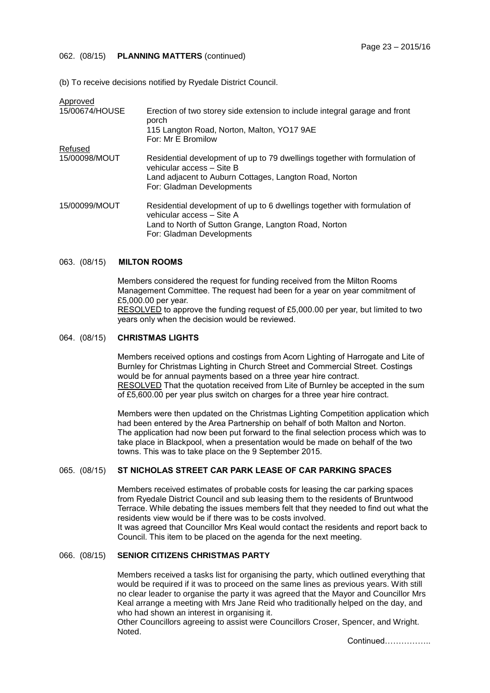#### 062. (08/15) **PLANNING MATTERS** (continued)

(b) To receive decisions notified by Ryedale District Council.

| Approved       |                                                                                                                                                                                                |
|----------------|------------------------------------------------------------------------------------------------------------------------------------------------------------------------------------------------|
| 15/00674/HOUSE | Erection of two storey side extension to include integral garage and front<br>porch<br>115 Langton Road, Norton, Malton, YO17 9AE                                                              |
|                | For: Mr E Bromilow                                                                                                                                                                             |
| Refused        |                                                                                                                                                                                                |
| 15/00098/MOUT  | Residential development of up to 79 dwellings together with formulation of<br>vehicular access - Site B<br>Land adjacent to Auburn Cottages, Langton Road, Norton<br>For: Gladman Developments |
| 15/00099/MOUT  | Residential development of up to 6 dwellings together with formulation of<br>vehicular access - Site A<br>Land to North of Sutton Grange, Langton Road, Norton<br>For: Gladman Developments    |

#### 063. (08/15) **MILTON ROOMS**

Members considered the request for funding received from the Milton Rooms Management Committee. The request had been for a year on year commitment of £5,000.00 per year. RESOLVED to approve the funding request of £5,000.00 per year, but limited to two years only when the decision would be reviewed.

### 064. (08/15) **CHRISTMAS LIGHTS**

Members received options and costings from Acorn Lighting of Harrogate and Lite of Burnley for Christmas Lighting in Church Street and Commercial Street. Costings would be for annual payments based on a three year hire contract. RESOLVED That the quotation received from Lite of Burnley be accepted in the sum of £5,600.00 per year plus switch on charges for a three year hire contract.

Members were then updated on the Christmas Lighting Competition application which had been entered by the Area Partnership on behalf of both Malton and Norton. The application had now been put forward to the final selection process which was to take place in Blackpool, when a presentation would be made on behalf of the two towns. This was to take place on the 9 September 2015.

### 065. (08/15) **ST NICHOLAS STREET CAR PARK LEASE OF CAR PARKING SPACES**

Members received estimates of probable costs for leasing the car parking spaces from Ryedale District Council and sub leasing them to the residents of Bruntwood Terrace. While debating the issues members felt that they needed to find out what the residents view would be if there was to be costs involved.

It was agreed that Councillor Mrs Keal would contact the residents and report back to Council. This item to be placed on the agenda for the next meeting.

# 066. (08/15) **SENIOR CITIZENS CHRISTMAS PARTY**

Members received a tasks list for organising the party, which outlined everything that would be required if it was to proceed on the same lines as previous years. With still no clear leader to organise the party it was agreed that the Mayor and Councillor Mrs Keal arrange a meeting with Mrs Jane Reid who traditionally helped on the day, and who had shown an interest in organising it.

Other Councillors agreeing to assist were Councillors Croser, Spencer, and Wright. Noted.

Continued……………..